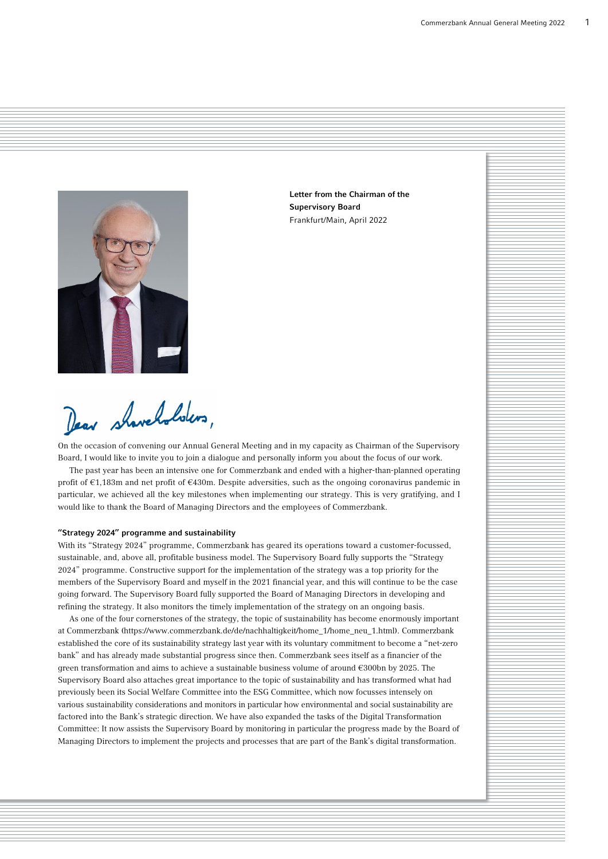

Letter from the Chairman of the Supervisory Board Frankfurt/Main, April 2022

Dear shaveholders,

On the occasion of convening our Annual General Meeting and in my capacity as Chairman of the Supervisory Board, I would like to invite you to join a dialogue and personally inform you about the focus of our work.

The past year has been an intensive one for Commerzbank and ended with a higher-than-planned operating profit of €1,183m and net profit of €430m. Despite adversities, such as the ongoing coronavirus pandemic in particular, we achieved all the key milestones when implementing our strategy. This is very gratifying, and I would like to thank the Board of Managing Directors and the employees of Commerzbank.

# "Strategy 2024" programme and sustainability

With its "Strategy 2024" programme, Commerzbank has geared its operations toward a customer-focussed, sustainable, and, above all, profitable business model. The Supervisory Board fully supports the "Strategy 2024" programme. Constructive support for the implementation of the strategy was a top priority for the members of the Supervisory Board and myself in the 2021 financial year, and this will continue to be the case going forward. The Supervisory Board fully supported the Board of Managing Directors in developing and refining the strategy. It also monitors the timely implementation of the strategy on an ongoing basis.

As one of the four cornerstones of the strategy, the topic of sustainability has become enormously important at Commerzbank (https://www.commerzbank.de/de/nachhaltigkeit/home\_1/home\_neu\_1.html). Commerzbank established the core of its sustainability strategy last year with its voluntary commitment to become a "net-zero bank" and has already made substantial progress since then. Commerzbank sees itself as a financier of the green transformation and aims to achieve a sustainable business volume of around €300bn by 2025. The Supervisory Board also attaches great importance to the topic of sustainability and has transformed what had previously been its Social Welfare Committee into the ESG Committee, which now focusses intensely on various sustainability considerations and monitors in particular how environmental and social sustainability are factored into the Bank's strategic direction. We have also expanded the tasks of the Digital Transformation Committee: It now assists the Supervisory Board by monitoring in particular the progress made by the Board of Managing Directors to implement the projects and processes that are part of the Bank's digital transformation.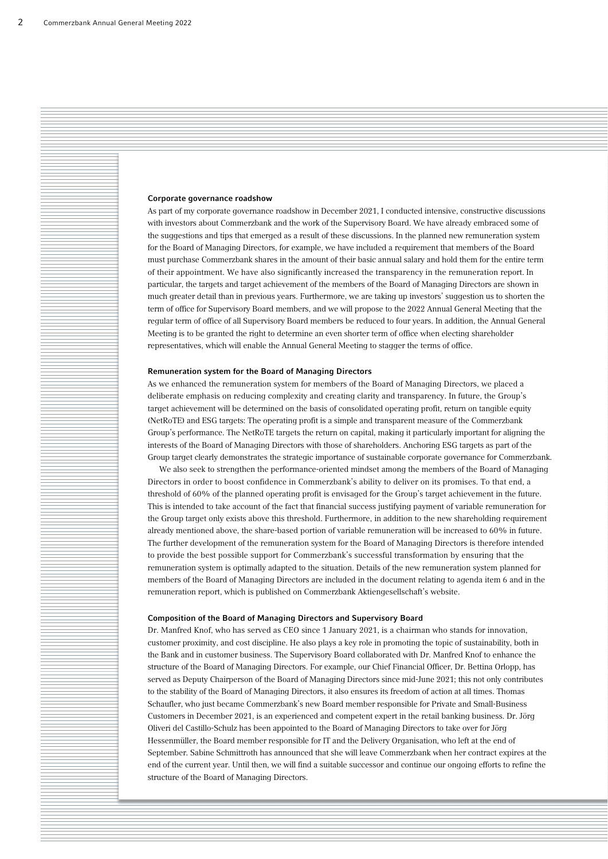## Corporate governance roadshow

As part of my corporate governance roadshow in December 2021, I conducted intensive, constructive discussions with investors about Commerzbank and the work of the Supervisory Board. We have already embraced some of the suggestions and tips that emerged as a result of these discussions. In the planned new remuneration system for the Board of Managing Directors, for example, we have included a requirement that members of the Board must purchase Commerzbank shares in the amount of their basic annual salary and hold them for the entire term of their appointment. We have also significantly increased the transparency in the remuneration report. In particular, the targets and target achievement of the members of the Board of Managing Directors are shown in much greater detail than in previous years. Furthermore, we are taking up investors' suggestion us to shorten the term of office for Supervisory Board members, and we will propose to the 2022 Annual General Meeting that the regular term of office of all Supervisory Board members be reduced to four years. In addition, the Annual General Meeting is to be granted the right to determine an even shorter term of office when electing shareholder representatives, which will enable the Annual General Meeting to stagger the terms of office.

#### Remuneration system for the Board of Managing Directors

As we enhanced the remuneration system for members of the Board of Managing Directors, we placed a deliberate emphasis on reducing complexity and creating clarity and transparency. In future, the Group's target achievement will be determined on the basis of consolidated operating profit, return on tangible equity (NetRoTE) and ESG targets: The operating profit is a simple and transparent measure of the Commerzbank Group's performance. The NetRoTE targets the return on capital, making it particularly important for aligning the interests of the Board of Managing Directors with those of shareholders. Anchoring ESG targets as part of the Group target clearly demonstrates the strategic importance of sustainable corporate governance for Commerzbank.

We also seek to strengthen the performance-oriented mindset among the members of the Board of Managing Directors in order to boost confidence in Commerzbank's ability to deliver on its promises. To that end, a threshold of 60% of the planned operating profit is envisaged for the Group's target achievement in the future. This is intended to take account of the fact that financial success justifying payment of variable remuneration for the Group target only exists above this threshold. Furthermore, in addition to the new shareholding requirement already mentioned above, the share-based portion of variable remuneration will be increased to 60% in future. The further development of the remuneration system for the Board of Managing Directors is therefore intended to provide the best possible support for Commerzbank's successful transformation by ensuring that the remuneration system is optimally adapted to the situation. Details of the new remuneration system planned for members of the Board of Managing Directors are included in the document relating to agenda item 6 and in the remuneration report, which is published on Commerzbank Aktiengesellschaft's website.

## Composition of the Board of Managing Directors and Supervisory Board

Dr. Manfred Knof, who has served as CEO since 1 January 2021, is a chairman who stands for innovation, customer proximity, and cost discipline. He also plays a key role in promoting the topic of sustainability, both in the Bank and in customer business. The Supervisory Board collaborated with Dr. Manfred Knof to enhance the structure of the Board of Managing Directors. For example, our Chief Financial Officer, Dr. Bettina Orlopp, has served as Deputy Chairperson of the Board of Managing Directors since mid-June 2021; this not only contributes to the stability of the Board of Managing Directors, it also ensures its freedom of action at all times. Thomas Schaufler, who just became Commerzbank's new Board member responsible for Private and Small-Business Customers in December 2021, is an experienced and competent expert in the retail banking business. Dr. Jörg Oliveri del Castillo-Schulz has been appointed to the Board of Managing Directors to take over for Jörg Hessenmüller, the Board member responsible for IT and the Delivery Organisation, who left at the end of September. Sabine Schmittroth has announced that she will leave Commerzbank when her contract expires at the end of the current year. Until then, we will find a suitable successor and continue our ongoing efforts to refine the structure of the Board of Managing Directors.